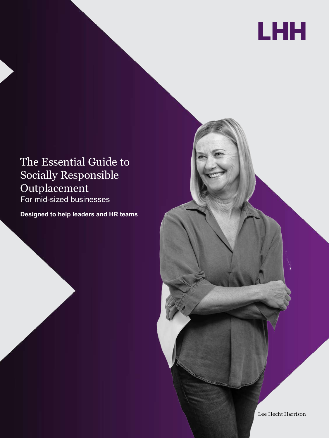

# The Essential Guide to Socially Responsible Outplacement For mid-sized businesses

**Designed to help leaders and HR teams**

Lee Hecht Harrison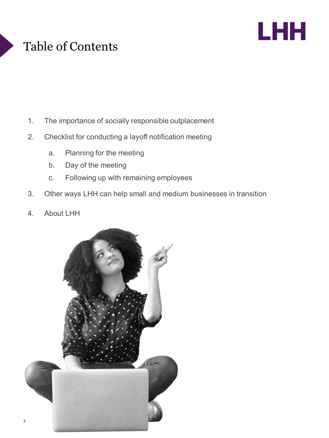# Table of Contents



- 1. The importance of socially responsible outplacement
- 2. Checklist for conducting a layoff notification meeting
	- a. Planning for the meeting
	- b. Day of the meeting
	- c. Following up with remaining employees
- 3. Other ways LHH can help small and medium businesses in transition
- 4. About LHH

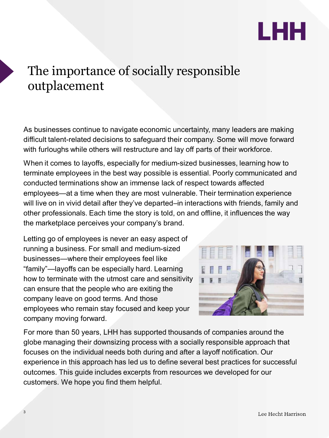

# The importance of socially responsible outplacement

As businesses continue to navigate economic uncertainty, many leaders are making difficult talent-related decisions to safeguard their company. Some will move forward with furloughs while others will restructure and lay off parts of their workforce.

When it comes to layoffs, especially for medium-sized businesses, learning how to terminate employees in the best way possible is essential. Poorly communicated and conducted terminations show an immense lack of respect towards affected employees—at a time when they are most vulnerable. Their termination experience will live on in vivid detail after they've departed–in interactions with friends, family and other professionals. Each time the story is told, on and offline, it influences the way the marketplace perceives your company's brand.

Letting go of employees is never an easy aspect of running a business. For small and medium-sized businesses—where their employees feel like "family"—layoffs can be especially hard. Learning how to terminate with the utmost care and sensitivity can ensure that the people who are exiting the company leave on good terms. And those employees who remain stay focused and keep your company moving forward.



For more than 50 years, LHH has supported thousands of companies around the globe managing their downsizing process with a socially responsible approach that focuses on the individual needs both during and after a layoff notification. Our experience in this approach has led us to define several best practices for successful outcomes. This guide includes excerpts from resources we developed for our customers. We hope you find them helpful.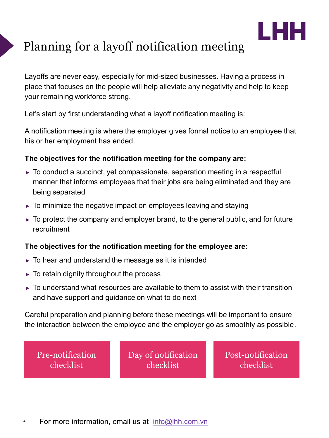

# Planning for a layoff notification meeting

Layoffs are never easy, especially for mid-sized businesses. Having a process in place that focuses on the people will help alleviate any negativity and help to keep your remaining workforce strong.

Let's start by first understanding what a layoff notification meeting is:

A notification meeting is where the employer gives formal notice to an employee that his or her employment has ended.

### **The objectives for the notification meeting for the company are:**

- $\triangleright$  To conduct a succinct, yet compassionate, separation meeting in a respectful manner that informs employees that their jobs are being eliminated and they are being separated
- ► To minimize the negative impact on employees leaving and staying
- ► To protect the company and employer brand, to the general public, and for future recruitment

### **The objectives for the notification meeting for the employee are:**

- $\triangleright$  To hear and understand the message as it is intended
- $\triangleright$  To retain dignity throughout the process
- $\triangleright$  To understand what resources are available to them to assist with their transition and have support and guidance on what to do next

Careful preparation and planning before these meetings will be important to ensure the interaction between the employee and the employer go as smoothly as possible.

[Pre-notification](#page-4-0) checklist

Day of [notification](#page-5-0) checklist

[Post-notification](#page-7-0) checklist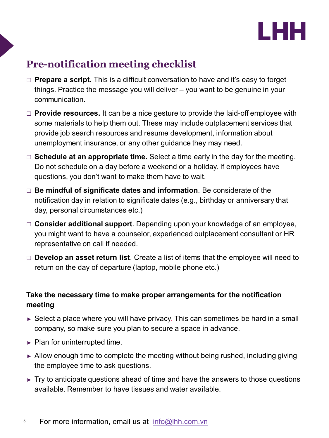

## <span id="page-4-0"></span>**Pre-notification meeting checklist**

- □ **Prepare a script.** This is a difficult conversation to have and it's easy to forget things. Practice the message you will deliver – you want to be genuine in your communication.
- □ **Provide resources.** It can be a nice gesture to provide the laid-off employee with some materials to help them out. These may include outplacement services that provide job search resources and resume development, information about unemployment insurance, or any other guidance they may need.
- □ **Schedule at an appropriate time.** Select a time early in the day for the meeting. Do not schedule on a day before a weekend or a holiday. If employees have questions, you don't want to make them have to wait.
- □ **Be mindful of significate dates and information**. Be considerate of the notification day in relation to significate dates (e.g., birthday or anniversary that day, personal circumstances etc.)
- □ **Consider additional support**. Depending upon your knowledge of an employee, you might want to have a counselor, experienced outplacement consultant or HR representative on call if needed.
- □ **Develop an asset return list**. Create a list of items that the employee will need to return on the day of departure (laptop, mobile phone etc.)

### **Take the necessary time to make proper arrangements for the notification meeting**

- $\triangleright$  Select a place where you will have privacy. This can sometimes be hard in a small company, so make sure you plan to secure a space in advance.
- $\blacktriangleright$  Plan for uninterrupted time.
- ► Allow enough time to complete the meeting without being rushed, including giving the employee time to ask questions.
- $\triangleright$  Try to anticipate questions ahead of time and have the answers to those questions available. Remember to have tissues and water available.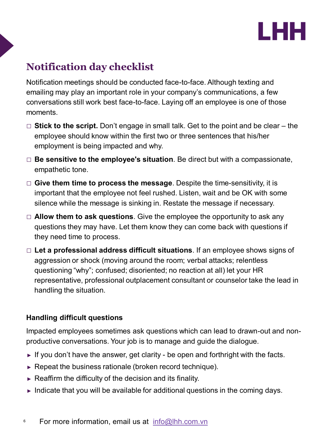

## <span id="page-5-0"></span>**Notification day checklist**

Notification meetings should be conducted face-to-face. Although texting and emailing may play an important role in your company's communications, a few conversations still work best face-to-face. Laying off an employee is one of those moments.

- □ **Stick to the script.** Don't engage in small talk. Get to the point and be clear the employee should know within the first two or three sentences that his/her employment is being impacted and why.
- □ **Be sensitive to the employee's situation**. Be direct but with a compassionate, empathetic tone.
- □ **Give them time to process the message**. Despite the time-sensitivity, it is important that the employee not feel rushed. Listen, wait and be OK with some silence while the message is sinking in. Restate the message if necessary.
- □ **Allow them to ask questions**. Give the employee the opportunity to ask any questions they may have. Let them know they can come back with questions if they need time to process.
- □ **Let a professional address difficult situations**. If an employee shows signs of aggression or shock (moving around the room; verbal attacks; relentless questioning "why"; confused; disoriented; no reaction at all) let your HR representative, professional outplacement consultant or counselor take the lead in handling the situation.

### **Handling difficult questions**

Impacted employees sometimes ask questions which can lead to drawn-out and nonproductive conversations. Your job is to manage and guide the dialogue.

- $\blacktriangleright$  If you don't have the answer, get clarity be open and forthright with the facts.
- ► Repeat the business rationale (broken record technique).
- $\triangleright$  Reaffirm the difficulty of the decision and its finality.
- ► Indicate that you will be available for additional questions in the coming days.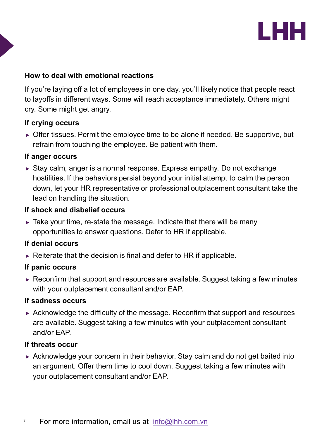

#### **How to deal with emotional reactions**

If you're laying off a lot of employees in one day, you'll likely notice that people react to layoffs in different ways. Some will reach acceptance immediately. Others might cry. Some might get angry.

#### **If crying occurs**

► Offer tissues. Permit the employee time to be alone if needed. Be supportive, but refrain from touching the employee. Be patient with them.

#### **If anger occurs**

► Stay calm, anger is a normal response. Express empathy. Do not exchange hostilities. If the behaviors persist beyond your initial attempt to calm the person down, let your HR representative or professional outplacement consultant take the lead on handling the situation.

#### **If shock and disbelief occurs**

 $\triangleright$  Take your time, re-state the message. Indicate that there will be many opportunities to answer questions. Defer to HR if applicable.

#### **If denial occurs**

 $\triangleright$  Reiterate that the decision is final and defer to HR if applicable.

#### **If panic occurs**

► Reconfirm that support and resources are available. Suggest taking a few minutes with your outplacement consultant and/or EAP.

#### **If sadness occurs**

 $\triangleright$  Acknowledge the difficulty of the message. Reconfirm that support and resources are available. Suggest taking a few minutes with your outplacement consultant and/or EAP.

#### **If threats occur**

► Acknowledge your concern in their behavior. Stay calm and do not get baited into an argument. Offer them time to cool down. Suggest taking a few minutes with your outplacement consultant and/or EAP.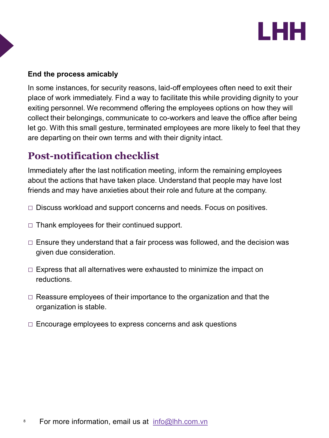

#### <span id="page-7-0"></span>**End the process amicably**

In some instances, for security reasons, laid-off employees often need to exit their place of work immediately. Find a way to facilitate this while providing dignity to your exiting personnel. We recommend offering the employees options on how they will collect their belongings, communicate to co-workers and leave the office after being let go. With this small gesture, terminated employees are more likely to feel that they are departing on their own terms and with their dignity intact.

## **Post-notification checklist**

Immediately after the last notification meeting, inform the remaining employees about the actions that have taken place. Understand that people may have lost friends and may have anxieties about their role and future at the company.

- $\Box$  Discuss workload and support concerns and needs. Focus on positives.
- $\Box$  Thank employees for their continued support.
- □ Ensure they understand that a fair process was followed, and the decision was given due consideration.
- □ Express that all alternatives were exhausted to minimize the impact on reductions.
- $\Box$  Reassure employees of their importance to the organization and that the organization is stable.
- $\Box$  Encourage employees to express concerns and ask questions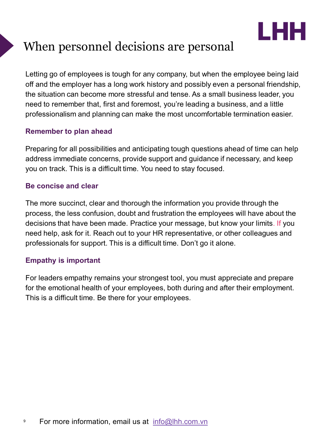

# When personnel decisions are personal

Letting go of employees is tough for any company, but when the employee being laid off and the employer has a long work history and possibly even a personal friendship, the situation can become more stressful and tense. As a small business leader, you need to remember that, first and foremost, you're leading a business, and a little professionalism and planning can make the most uncomfortable termination easier.

### **Remember to plan ahead**

Preparing for all possibilities and anticipating tough questions ahead of time can help address immediate concerns, provide support and guidance if necessary, and keep you on track. This is a difficult time. You need to stay focused.

#### **Be concise and clear**

The more succinct, clear and thorough the information you provide through the process, the less confusion, doubt and frustration the employees will have about the decisions that have been made. Practice your message, but know your limits. If you need help, ask for it. Reach out to your HR representative, or other colleagues and professionals for support. This is a difficult time. Don't go it alone.

### **Empathy is important**

For leaders empathy remains your strongest tool, you must appreciate and prepare for the emotional health of your employees, both during and after their employment. This is a difficult time. Be there for your employees.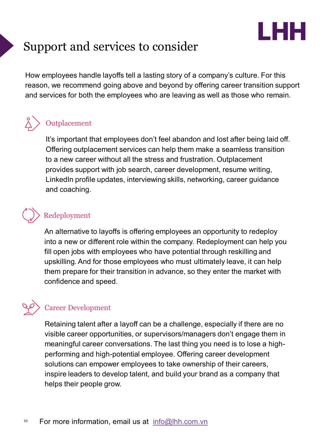

# Support and services to consider

How employees handle layoffs tell a lasting story of a company's culture. For this reason, we recommend going above and beyond by offering career transition support and services for both the employees who are leaving as well as those who remain.

## **Outplacement**

It's important that employees don't feel abandon and lost after being laid off. Offering outplacement services can help them make a seamless transition to a new career without all the stress and frustration. Outplacement provides support with job search, career development, resume writing, LinkedIn profile updates, interviewing skills, networking, career guidance and coaching.

## Redeployment

An alternative to layoffs is offering employees an opportunity to redeploy into a new or different role within the company. Redeployment can help you fill open jobs with employees who have potential through reskilling and upskilling. And for those employees who must ultimately leave, it can help them prepare for their transition in advance, so they enter the market with confidence and speed.

## Career Development

Retaining talent after a layoff can be a challenge, especially if there are no visible career opportunities, or supervisors/managers don't engage them in meaningful career conversations. The last thing you need is to lose a highperforming and high-potential employee. Offering career development solutions can empower employees to take ownership of their careers, inspire leaders to develop talent, and build your brand as a company that helps their people grow.